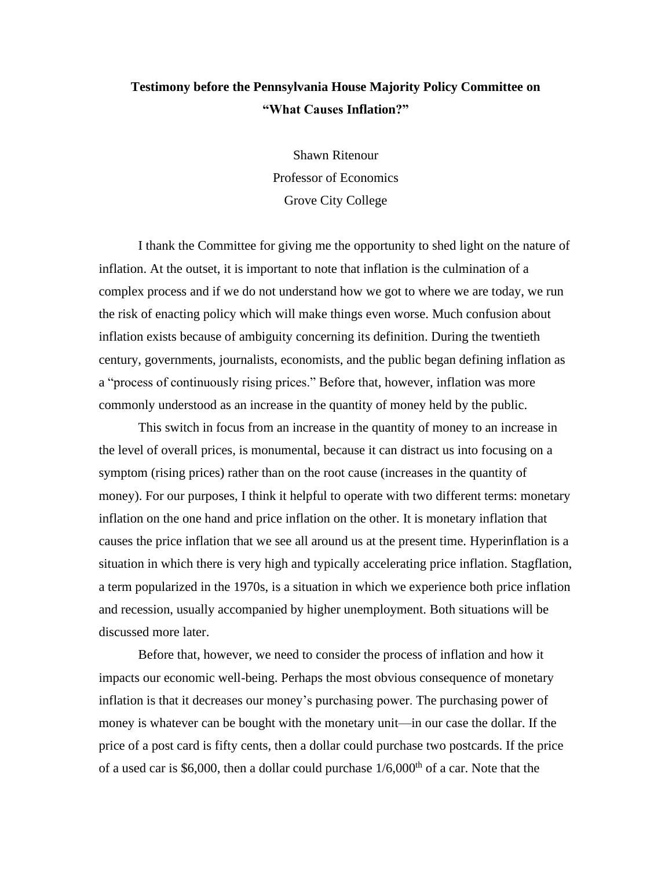## **Testimony before the Pennsylvania House Majority Policy Committee on "What Causes Inflation?"**

Shawn Ritenour Professor of Economics Grove City College

I thank the Committee for giving me the opportunity to shed light on the nature of inflation. At the outset, it is important to note that inflation is the culmination of a complex process and if we do not understand how we got to where we are today, we run the risk of enacting policy which will make things even worse. Much confusion about inflation exists because of ambiguity concerning its definition. During the twentieth century, governments, journalists, economists, and the public began defining inflation as a "process of continuously rising prices." Before that, however, inflation was more commonly understood as an increase in the quantity of money held by the public.

This switch in focus from an increase in the quantity of money to an increase in the level of overall prices, is monumental, because it can distract us into focusing on a symptom (rising prices) rather than on the root cause (increases in the quantity of money). For our purposes, I think it helpful to operate with two different terms: monetary inflation on the one hand and price inflation on the other. It is monetary inflation that causes the price inflation that we see all around us at the present time. Hyperinflation is a situation in which there is very high and typically accelerating price inflation. Stagflation, a term popularized in the 1970s, is a situation in which we experience both price inflation and recession, usually accompanied by higher unemployment. Both situations will be discussed more later.

Before that, however, we need to consider the process of inflation and how it impacts our economic well-being. Perhaps the most obvious consequence of monetary inflation is that it decreases our money's purchasing power. The purchasing power of money is whatever can be bought with the monetary unit—in our case the dollar. If the price of a post card is fifty cents, then a dollar could purchase two postcards. If the price of a used car is \$6,000, then a dollar could purchase  $1/6,000<sup>th</sup>$  of a car. Note that the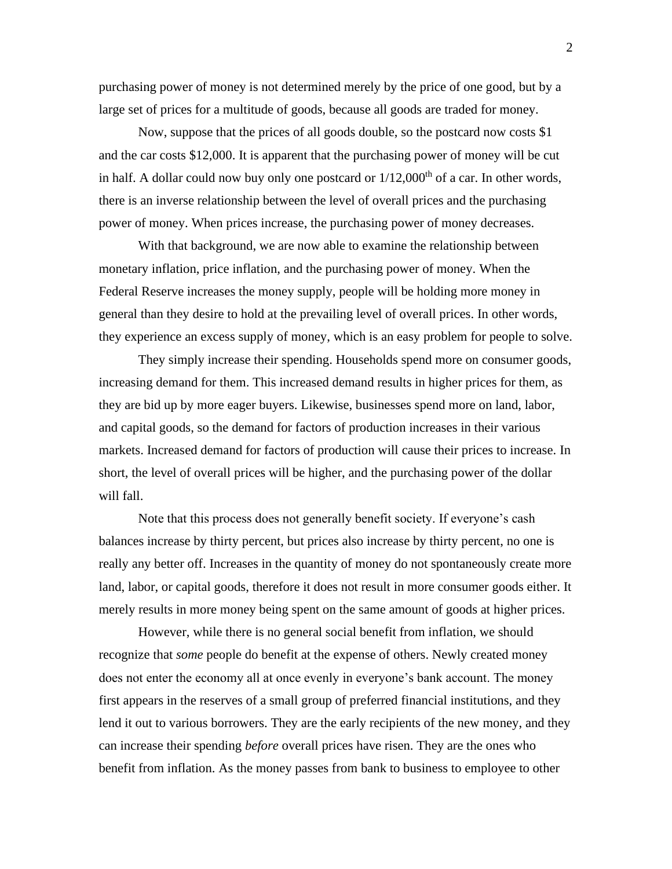purchasing power of money is not determined merely by the price of one good, but by a large set of prices for a multitude of goods, because all goods are traded for money.

Now, suppose that the prices of all goods double, so the postcard now costs \$1 and the car costs \$12,000. It is apparent that the purchasing power of money will be cut in half. A dollar could now buy only one postcard or  $1/12,000<sup>th</sup>$  of a car. In other words, there is an inverse relationship between the level of overall prices and the purchasing power of money. When prices increase, the purchasing power of money decreases.

With that background, we are now able to examine the relationship between monetary inflation, price inflation, and the purchasing power of money. When the Federal Reserve increases the money supply, people will be holding more money in general than they desire to hold at the prevailing level of overall prices. In other words, they experience an excess supply of money, which is an easy problem for people to solve.

They simply increase their spending. Households spend more on consumer goods, increasing demand for them. This increased demand results in higher prices for them, as they are bid up by more eager buyers. Likewise, businesses spend more on land, labor, and capital goods, so the demand for factors of production increases in their various markets. Increased demand for factors of production will cause their prices to increase. In short, the level of overall prices will be higher, and the purchasing power of the dollar will fall.

Note that this process does not generally benefit society. If everyone's cash balances increase by thirty percent, but prices also increase by thirty percent, no one is really any better off. Increases in the quantity of money do not spontaneously create more land, labor, or capital goods, therefore it does not result in more consumer goods either. It merely results in more money being spent on the same amount of goods at higher prices.

However, while there is no general social benefit from inflation, we should recognize that *some* people do benefit at the expense of others. Newly created money does not enter the economy all at once evenly in everyone's bank account. The money first appears in the reserves of a small group of preferred financial institutions, and they lend it out to various borrowers. They are the early recipients of the new money, and they can increase their spending *before* overall prices have risen. They are the ones who benefit from inflation. As the money passes from bank to business to employee to other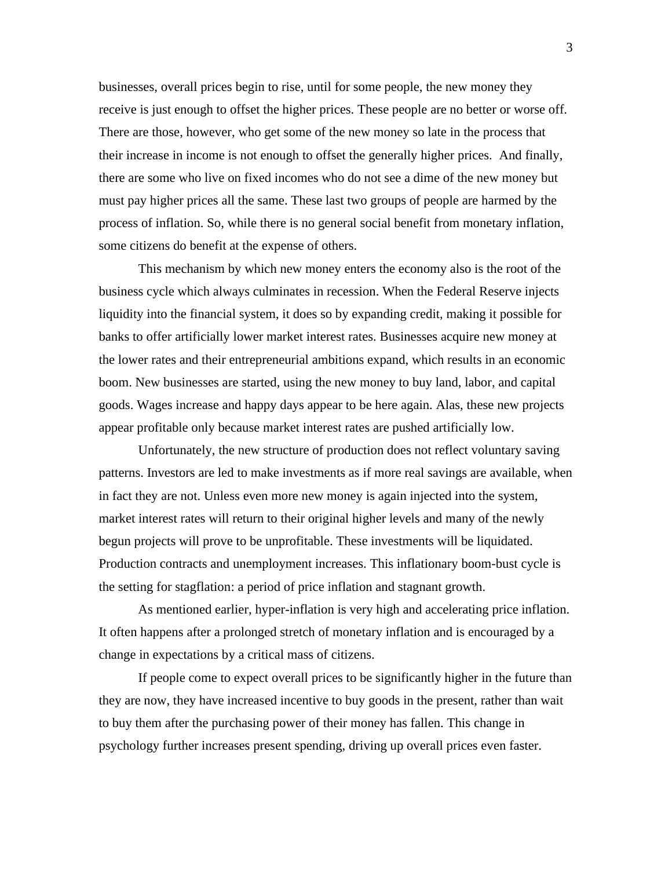businesses, overall prices begin to rise, until for some people, the new money they receive is just enough to offset the higher prices. These people are no better or worse off. There are those, however, who get some of the new money so late in the process that their increase in income is not enough to offset the generally higher prices. And finally, there are some who live on fixed incomes who do not see a dime of the new money but must pay higher prices all the same. These last two groups of people are harmed by the process of inflation. So, while there is no general social benefit from monetary inflation, some citizens do benefit at the expense of others.

This mechanism by which new money enters the economy also is the root of the business cycle which always culminates in recession. When the Federal Reserve injects liquidity into the financial system, it does so by expanding credit, making it possible for banks to offer artificially lower market interest rates. Businesses acquire new money at the lower rates and their entrepreneurial ambitions expand, which results in an economic boom. New businesses are started, using the new money to buy land, labor, and capital goods. Wages increase and happy days appear to be here again. Alas, these new projects appear profitable only because market interest rates are pushed artificially low.

Unfortunately, the new structure of production does not reflect voluntary saving patterns. Investors are led to make investments as if more real savings are available, when in fact they are not. Unless even more new money is again injected into the system, market interest rates will return to their original higher levels and many of the newly begun projects will prove to be unprofitable. These investments will be liquidated. Production contracts and unemployment increases. This inflationary boom-bust cycle is the setting for stagflation: a period of price inflation and stagnant growth.

As mentioned earlier, hyper-inflation is very high and accelerating price inflation. It often happens after a prolonged stretch of monetary inflation and is encouraged by a change in expectations by a critical mass of citizens.

If people come to expect overall prices to be significantly higher in the future than they are now, they have increased incentive to buy goods in the present, rather than wait to buy them after the purchasing power of their money has fallen. This change in psychology further increases present spending, driving up overall prices even faster.